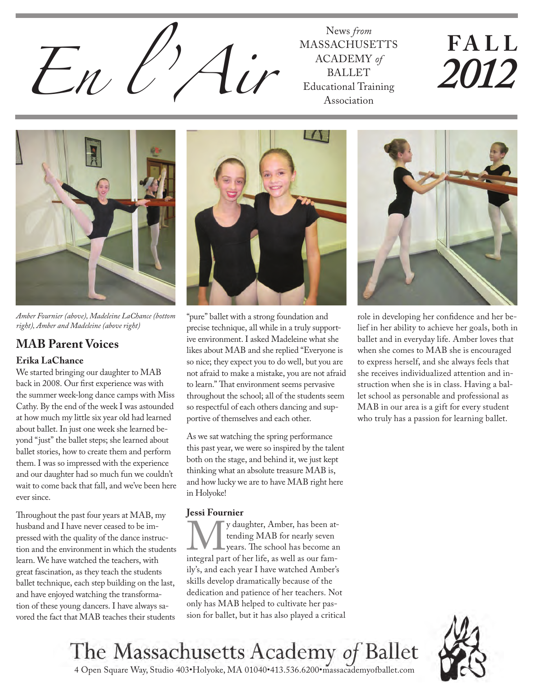

MASSACHUSETTS ACADEMY *of* BALLET Educational Training Association

# **FALL** *2012*



*Amber Fournier (above), Madeleine LaChance (bottom right), Amber and Madeleine (above right)*

## **MAB Parent Voices**

#### **Erika LaChance**

We started bringing our daughter to MAB back in 2008. Our first experience was with the summer week-long dance camps with Miss Cathy. By the end of the week I was astounded at how much my little six year old had learned about ballet. In just one week she learned beyond "just" the ballet steps; she learned about ballet stories, how to create them and perform them. I was so impressed with the experience and our daughter had so much fun we couldn't wait to come back that fall, and we've been here ever since.

Throughout the past four years at MAB, my husband and I have never ceased to be impressed with the quality of the dance instruction and the environment in which the students learn. We have watched the teachers, with great fascination, as they teach the students ballet technique, each step building on the last, and have enjoyed watching the transformation of these young dancers. I have always savored the fact that MAB teaches their students



"pure" ballet with a strong foundation and precise technique, all while in a truly supportive environment. I asked Madeleine what she likes about MAB and she replied "Everyone is so nice; they expect you to do well, but you are not afraid to make a mistake, you are not afraid to learn." That environment seems pervasive throughout the school; all of the students seem so respectful of each others dancing and supportive of themselves and each other.

As we sat watching the spring performance this past year, we were so inspired by the talent both on the stage, and behind it, we just kept thinking what an absolute treasure MAB is, and how lucky we are to have MAB right here in Holyoke!

#### **Jessi Fournier**

We daughter, Amber, has been at-<br>tending MAB for nearly seven<br>integral part of her life, as well as our famtending MAB for nearly seven  $\mathsf{L}$ years. The school has become an ily's, and each year I have watched Amber's skills develop dramatically because of the dedication and patience of her teachers. Not only has MAB helped to cultivate her passion for ballet, but it has also played a critical



role in developing her confidence and her belief in her ability to achieve her goals, both in ballet and in everyday life. Amber loves that when she comes to MAB she is encouraged to express herself, and she always feels that she receives individualized attention and instruction when she is in class. Having a ballet school as personable and professional as MAB in our area is a gift for every student who truly has a passion for learning ballet.



# The Massachusetts Academy of Ballet 4 Open Square Way, Studio 403•Holyoke, MA 01040•413.536.6200•massacademyofballet.com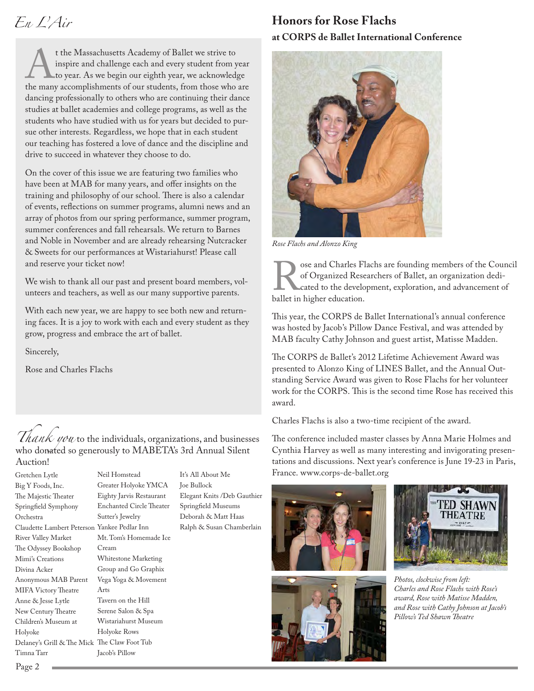# *En L'Air*

t the Massachusetts Academy of Ballet we strive to inspire and challenge each and every student from year to year. As we begin our eighth year, we acknowledge the many accomplishments of our students, from those who are inspire and challenge each and every student from year to year. As we begin our eighth year, we acknowledge dancing professionally to others who are continuing their dance studies at ballet academies and college programs, as well as the students who have studied with us for years but decided to pursue other interests. Regardless, we hope that in each student our teaching has fostered a love of dance and the discipline and drive to succeed in whatever they choose to do.

On the cover of this issue we are featuring two families who have been at MAB for many years, and offer insights on the training and philosophy of our school. There is also a calendar of events, reflections on summer programs, alumni news and an array of photos from our spring performance, summer program, summer conferences and fall rehearsals. We return to Barnes and Noble in November and are already rehearsing Nutcracker & Sweets for our performances at Wistariahurst! Please call and reserve your ticket now!

We wish to thank all our past and present board members, volunteers and teachers, as well as our many supportive parents.

With each new year, we are happy to see both new and returning faces. It is a joy to work with each and every student as they grow, progress and embrace the art of ballet.

Sincerely,

Rose and Charles Flachs

*Thank you* to the individuals, organizations, and businesses who donated so generously to MABETA's 3rd Annual Silent Auction!

Gretchen Lytle Big Y Foods, Inc. The Majestic Theater Springfield Symphony Orchestra Claudette Lambert Peterson Yankee Pedlar Inn River Valley Market The Odyssey Bookshop Mimi's Creations Divina Acker Anonymous MAB Parent MIFA Victory Theatre Anne & Jesse Lytle New Century Theatre Children's Museum at Holyoke Delaney's Grill & The Mick The Claw Foot Tub Timna Tarr Jacob's Pillow

Neil Homstead Greater Holyoke YMCA Eighty Jarvis Restaurant Enchanted Circle Theater Sutter's Jewelry Mt. Tom's Homemade Ice Cream Whitestone Marketing Group and Go Graphix Vega Yoga & Movement Arts Tavern on the Hill Serene Salon & Spa Wistariahurst Museum Holyoke Rows

It's All About Me Joe Bullock Elegant Knits /Deb Gauthier Springfield Museums Deborah & Matt Haas Ralph & Susan Chamberlain

## **Honors for Rose Flachs at CORPS de Ballet International Conference**



*Rose Flachs and Alonzo King*

Sose and Charles Flachs are founding members of the Council<br>of Organized Researchers of Ballet, an organization dedi-<br>cated to the development, exploration, and advancement of<br>ballet in higher education. of Organized Researchers of Ballet, an organization dedicated to the development, exploration, and advancement of ballet in higher education.

This year, the CORPS de Ballet International's annual conference was hosted by Jacob's Pillow Dance Festival, and was attended by MAB faculty Cathy Johnson and guest artist, Matisse Madden.

The CORPS de Ballet's 2012 Lifetime Achievement Award was presented to Alonzo King of LINES Ballet, and the Annual Outstanding Service Award was given to Rose Flachs for her volunteer work for the CORPS. This is the second time Rose has received this award.

Charles Flachs is also a two-time recipient of the award.

The conference included master classes by Anna Marie Holmes and Cynthia Harvey as well as many interesting and invigorating presentations and discussions. Next year's conference is June 19-23 in Paris, France. www.corps-de-ballet.org







*Photos, clockwise from left: Charles and Rose Flachs with Rose's award, Rose with Matisse Madden, and Rose with Cathy Johnson at Jacob's Pillow's Ted Shawn Theatre*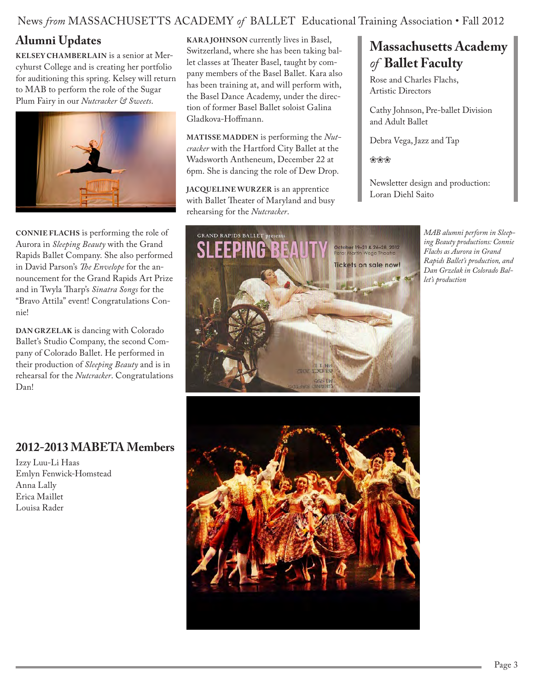## News *from* MASSACHUSETTS ACADEMY *of* BALLET Educational Training Association • Fall 2012

## **Alumni Updates**

**KELSEY CHAMBERLAIN** is a senior at Mercyhurst College and is creating her portfolio for auditioning this spring. Kelsey will return to MAB to perform the role of the Sugar Plum Fairy in our *Nutcracker & Sweets*.

![](_page_2_Picture_3.jpeg)

**CONNIE FLACHS** is performing the role of Aurora in *Sleeping Beauty* with the Grand Rapids Ballet Company. She also performed in David Parson's *The Envelope* for the announcement for the Grand Rapids Art Prize and in Twyla Tharp's *Sinatra Songs* for the "Bravo Attila" event! Congratulations Connie!

**DAN GRZELAK** is dancing with Colorado Ballet's Studio Company, the second Company of Colorado Ballet. He performed in their production of *Sleeping Beauty* and is in rehearsal for the *Nutcracker*. Congratulations Dan!

### **2012-2013 MABETA Members**

Izzy Luu-Li Haas Emlyn Fenwick-Homstead Anna Lally Erica Maillet Louisa Rader

**KARA JOHNSON** currently lives in Basel, Switzerland, where she has been taking ballet classes at Theater Basel, taught by company members of the Basel Ballet. Kara also has been training at, and will perform with, the Basel Dance Academy, under the direction of former Basel Ballet soloist Galina Gladkova-Hoffmann.

**MATISSE MADDEN** is performing the *Nutcracker* with the Hartford City Ballet at the Wadsworth Antheneum, December 22 at 6pm. She is dancing the role of Dew Drop.

**JACQUELINE WURZER** is an apprentice with Ballet Theater of Maryland and busy rehearsing for the *Nutcracker*.

## **Massachusetts Academy**  *of* **Ballet Faculty**

Rose and Charles Flachs, Artistic Directors

Cathy Johnson, Pre-ballet Division and Adult Ballet

Debra Vega, Jazz and Tap

❀❀❀

Newsletter design and production: Loran Diehl Saito

![](_page_2_Picture_17.jpeg)

*MAB alumni perform in Sleeping Beauty productions: Connie Flachs as Aurora in Grand Rapids Ballet's production, and Dan Grzelak in Colorado Ballet's production*

![](_page_2_Picture_19.jpeg)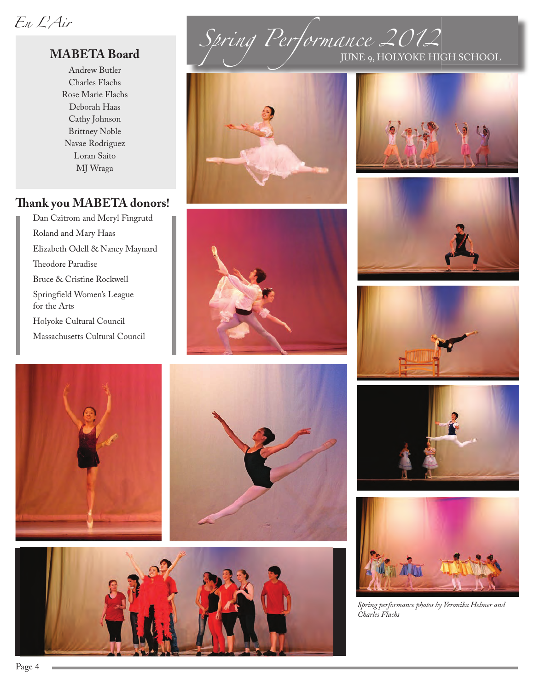# *En L'Air*

## **MABETA Board**

Andrew Butler Charles Flachs Rose Marie Flachs Deborah Haas Cathy Johnson Brittney Noble Navae Rodriguez Loran Saito MJ Wraga

## **Thank you MABETA donors!**

Dan Czitrom and Meryl Fingrutd Roland and Mary Haas Elizabeth Odell & Nancy Maynard Theodore Paradise Bruce & Cristine Rockwell Springfield Women's League for the Arts Holyoke Cultural Council Massachusetts Cultural Council

![](_page_3_Picture_5.jpeg)

![](_page_3_Picture_6.jpeg)

![](_page_3_Picture_7.jpeg)

![](_page_3_Picture_8.jpeg)

![](_page_3_Picture_9.jpeg)

![](_page_3_Picture_10.jpeg)

![](_page_3_Picture_11.jpeg)

![](_page_3_Picture_12.jpeg)

![](_page_3_Picture_13.jpeg)

*Spring performance photos by Veronika Helmer and Charles Flachs*

Page 4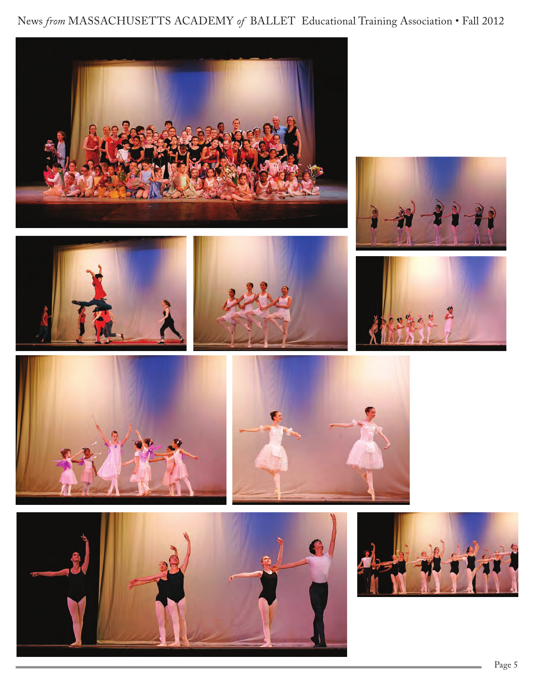News *from* MASSACHUSETTS ACADEMY *of* BALLET Educational Training Association • Fall 2012

![](_page_4_Picture_1.jpeg)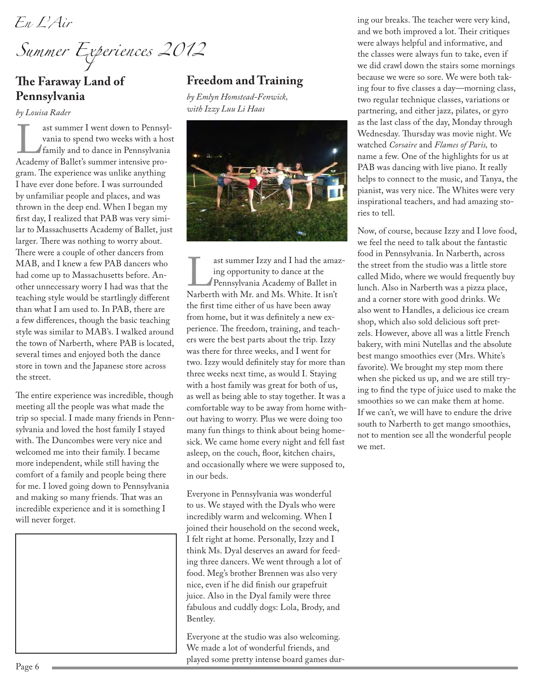*En L'Air*

*Summer Experiences 2012*

#### **e Faraway Land of Pennsylvania**

*by Louisa Rader*

ast summer I went down to Pennsylvania to spend two weeks with a host family and to dance in Pennsylvania<br>Academy of Ballet's summer intensive provania to spend two weeks with a host family and to dance in Pennsylvania gram. The experience was unlike anything I have ever done before. I was surrounded by unfamiliar people and places, and was thrown in the deep end. When I began my first day, I realized that PAB was very similar to Massachusetts Academy of Ballet, just larger. There was nothing to worry about. There were a couple of other dancers from MAB, and I knew a few PAB dancers who had come up to Massachusetts before. Another unnecessary worry I had was that the teaching style would be startlingly different than what I am used to. In PAB, there are a few differences, though the basic teaching style was similar to MAB's. I walked around the town of Narberth, where PAB is located, several times and enjoyed both the dance store in town and the Japanese store across the street.

The entire experience was incredible, though meeting all the people was what made the trip so special. I made many friends in Pennsylvania and loved the host family I stayed with. The Duncombes were very nice and welcomed me into their family. I became more independent, while still having the comfort of a family and people being there for me. I loved going down to Pennsylvania and making so many friends. That was an incredible experience and it is something I will never forget.

![](_page_5_Picture_6.jpeg)

### **Freedom and Training**

*by Emlyn Homstead-Fenwick, with Izzy Luu Li Haas*

![](_page_5_Picture_9.jpeg)

ast summer Izzy and I had the amazing opportunity to dance at the<br>Pennsylvania Academy of Ballet in<br>Narberth with Mr. and Ms. White. It isn't ing opportunity to dance at the Pennsylvania Academy of Ballet in Narberth with Mr. and Ms. White. It isn't the first time either of us have been away from home, but it was definitely a new experience. The freedom, training, and teachers were the best parts about the trip. Izzy was there for three weeks, and I went for two. Izzy would definitely stay for more than three weeks next time, as would I. Staying with a host family was great for both of us, as well as being able to stay together. It was a comfortable way to be away from home without having to worry. Plus we were doing too many fun things to think about being homesick. We came home every night and fell fast asleep, on the couch, floor, kitchen chairs, and occasionally where we were supposed to, in our beds.

Everyone in Pennsylvania was wonderful to us. We stayed with the Dyals who were incredibly warm and welcoming. When I joined their household on the second week, I felt right at home. Personally, Izzy and I think Ms. Dyal deserves an award for feeding three dancers. We went through a lot of food. Meg's brother Brennen was also very nice, even if he did finish our grapefruit juice. Also in the Dyal family were three fabulous and cuddly dogs: Lola, Brody, and Bentley.

Everyone at the studio was also welcoming. We made a lot of wonderful friends, and played some pretty intense board games dur-

ing our breaks. The teacher were very kind, and we both improved a lot. Their critiques were always helpful and informative, and the classes were always fun to take, even if we did crawl down the stairs some mornings because we were so sore. We were both taking four to five classes a day—morning class, two regular technique classes, variations or partnering, and either jazz, pilates, or gyro as the last class of the day, Monday through Wednesday. Thursday was movie night. We watched *Corsaire* and *Flames of Paris,* to name a few. One of the highlights for us at PAB was dancing with live piano. It really helps to connect to the music, and Tanya, the pianist, was very nice. The Whites were very inspirational teachers, and had amazing stories to tell.

Now, of course, because Izzy and I love food, we feel the need to talk about the fantastic food in Pennsylvania. In Narberth, across the street from the studio was a little store called Mido, where we would frequently buy lunch. Also in Narberth was a pizza place, and a corner store with good drinks. We also went to Handles, a delicious ice cream shop, which also sold delicious soft pretzels. However, above all was a little French bakery, with mini Nutellas and the absolute best mango smoothies ever (Mrs. White's favorite). We brought my step mom there when she picked us up, and we are still trying to find the type of juice used to make the smoothies so we can make them at home. If we can't, we will have to endure the drive south to Narberth to get mango smoothies, not to mention see all the wonderful people we met.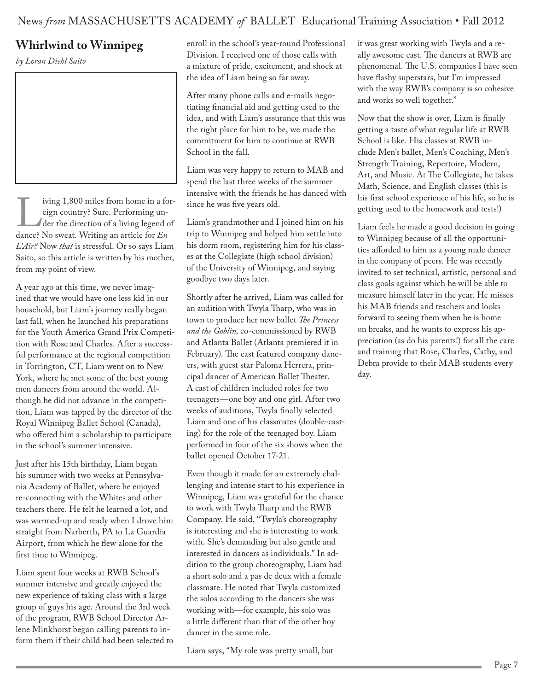### News *from* MASSACHUSETTS ACADEMY *of* BALLET Educational Training Association • Fall 2012

## **Whirlwind to Winnipeg**

*by Loran Diehl Saito*

It iving 1,800 miles from home in a for-<br>
eign country? Sure. Performing un-<br>
der the direction of a living legend of<br>
dance? No sweat. Writing an article for *En* eign country? Sure. Performing under the direction of a living legend of *L'Air?* Now *that* is stressful. Or so says Liam Saito, so this article is written by his mother, from my point of view.

A year ago at this time, we never imagined that we would have one less kid in our household, but Liam's journey really began last fall, when he launched his preparations for the Youth America Grand Prix Competition with Rose and Charles. After a successful performance at the regional competition in Torrington, CT, Liam went on to New York, where he met some of the best young men dancers from around the world. Although he did not advance in the competition, Liam was tapped by the director of the Royal Winnipeg Ballet School (Canada), who offered him a scholarship to participate in the school's summer intensive.

Just after his 15th birthday, Liam began his summer with two weeks at Pennsylvania Academy of Ballet, where he enjoyed re-connecting with the Whites and other teachers there. He felt he learned a lot, and was warmed-up and ready when I drove him straight from Narberth, PA to La Guardia Airport, from which he flew alone for the first time to Winnipeg.

Liam spent four weeks at RWB School's summer intensive and greatly enjoyed the new experience of taking class with a large group of guys his age. Around the 3rd week of the program, RWB School Director Arlene Minkhorst began calling parents to inform them if their child had been selected to enroll in the school's year-round Professional Division. I received one of those calls with a mixture of pride, excitement, and shock at the idea of Liam being so far away.

After many phone calls and e-mails negotiating financial aid and getting used to the idea, and with Liam's assurance that this was the right place for him to be, we made the commitment for him to continue at RWB School in the fall.

Liam was very happy to return to MAB and spend the last three weeks of the summer intensive with the friends he has danced with since he was five years old.

Liam's grandmother and I joined him on his trip to Winnipeg and helped him settle into his dorm room, registering him for his classes at the Collegiate (high school division) of the University of Winnipeg, and saying goodbye two days later.

Shortly after he arrived, Liam was called for an audition with Twyla Tharp, who was in town to produce her new ballet *The Princess and the Goblin,* co-commissioned by RWB and Atlanta Ballet (Atlanta premiered it in February). The cast featured company dancers, with guest star Paloma Herrera, principal dancer of American Ballet Theater. A cast of children included roles for two teenagers—one boy and one girl. After two weeks of auditions, Twyla finally selected Liam and one of his classmates (double-casting) for the role of the teenaged boy. Liam performed in four of the six shows when the ballet opened October 17-21.

Even though it made for an extremely challenging and intense start to his experience in Winnipeg, Liam was grateful for the chance to work with Twyla Tharp and the RWB Company. He said, "Twyla's choreography is interesting and she is interesting to work with. She's demanding but also gentle and interested in dancers as individuals." In addition to the group choreography, Liam had a short solo and a pas de deux with a female classmate. He noted that Twyla customized the solos according to the dancers she was working with—for example, his solo was a little different than that of the other boy dancer in the same role.

Liam says, "My role was pretty small, but

it was great working with Twyla and a really awesome cast. The dancers at RWB are phenomenal. The U.S. companies I have seen have flashy superstars, but I'm impressed with the way RWB's company is so cohesive and works so well together."

Now that the show is over, Liam is finally getting a taste of what regular life at RWB School is like. His classes at RWB include Men's ballet, Men's Coaching, Men's Strength Training, Repertoire, Modern, Art, and Music. At The Collegiate, he takes Math, Science, and English classes (this is his first school experience of his life, so he is getting used to the homework and tests!)

Liam feels he made a good decision in going to Winnipeg because of all the opportunities afforded to him as a young male dancer in the company of peers. He was recently invited to set technical, artistic, personal and class goals against which he will be able to measure himself later in the year. He misses his MAB friends and teachers and looks forward to seeing them when he is home on breaks, and he wants to express his appreciation (as do his parents!) for all the care and training that Rose, Charles, Cathy, and Debra provide to their MAB students every day.